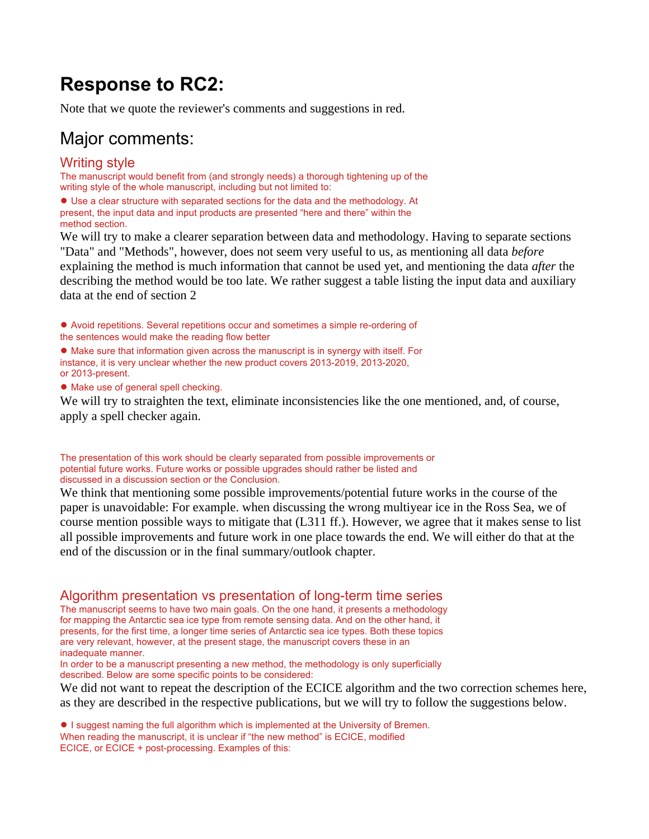# **Response to RC2:**

Note that we quote the reviewer's comments and suggestions in red.

### Major comments:

### Writing style

The manuscript would benefit from (and strongly needs) a thorough tightening up of the writing style of the whole manuscript, including but not limited to:

● Use a clear structure with separated sections for the data and the methodology. At present, the input data and input products are presented "here and there" within the method section.

We will try to make a clearer separation between data and methodology. Having to separate sections "Data" and "Methods", however, does not seem very useful to us, as mentioning all data *before* explaining the method is much information that cannot be used yet, and mentioning the data *after* the describing the method would be too late. We rather suggest a table listing the input data and auxiliary data at the end of section 2

● Avoid repetitions. Several repetitions occur and sometimes a simple re-ordering of the sentences would make the reading flow better

● Make sure that information given across the manuscript is in synergy with itself. For instance, it is very unclear whether the new product covers 2013-2019, 2013-2020, or 2013-present.

● Make use of general spell checking.

We will try to straighten the text, eliminate inconsistencies like the one mentioned, and, of course, apply a spell checker again.

The presentation of this work should be clearly separated from possible improvements or potential future works. Future works or possible upgrades should rather be listed and discussed in a discussion section or the Conclusion.

We think that mentioning some possible improvements/potential future works in the course of the paper is unavoidable: For example. when discussing the wrong multiyear ice in the Ross Sea, we of course mention possible ways to mitigate that (L311 ff.). However, we agree that it makes sense to list all possible improvements and future work in one place towards the end. We will either do that at the end of the discussion or in the final summary/outlook chapter.

Algorithm presentation vs presentation of long-term time series

The manuscript seems to have two main goals. On the one hand, it presents a methodology for mapping the Antarctic sea ice type from remote sensing data. And on the other hand, it presents, for the first time, a longer time series of Antarctic sea ice types. Both these topics are very relevant, however, at the present stage, the manuscript covers these in an inadequate manner.

In order to be a manuscript presenting a new method, the methodology is only superficially described. Below are some specific points to be considered:

We did not want to repeat the description of the ECICE algorithm and the two correction schemes here, as they are described in the respective publications, but we will try to follow the suggestions below.

● I suggest naming the full algorithm which is implemented at the University of Bremen. When reading the manuscript, it is unclear if "the new method" is ECICE, modified ECICE, or ECICE + post-processing. Examples of this: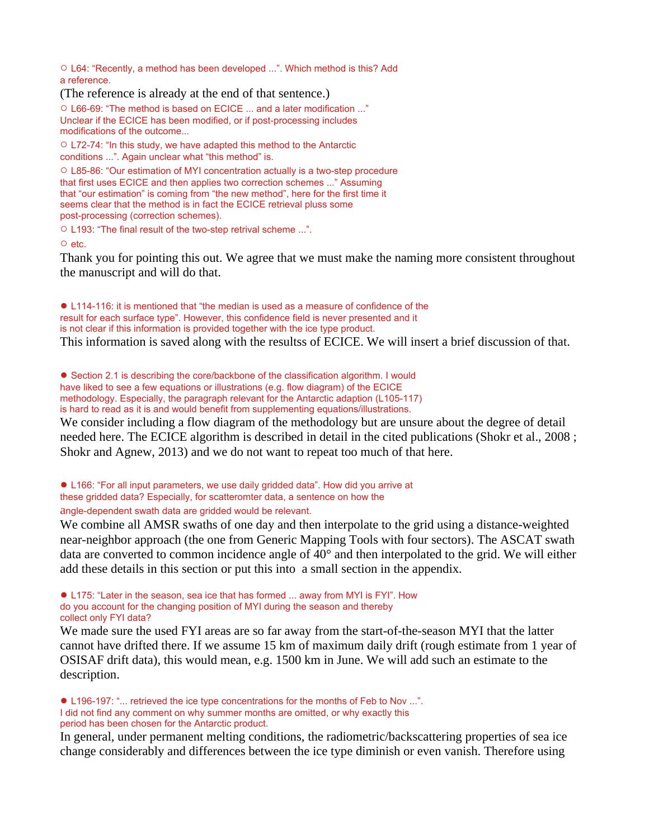○ L64: "Recently, a method has been developed ...". Which method is this? Add a reference.

(The reference is already at the end of that sentence.)

○ L66-69: "The method is based on ECICE ... and a later modification ..." Unclear if the ECICE has been modified, or if post-processing includes modifications of the outcome...

○ L72-74: "In this study, we have adapted this method to the Antarctic conditions ...". Again unclear what "this method" is.

○ L85-86: "Our estimation of MYI concentration actually is a two-step procedure that first uses ECICE and then applies two correction schemes ..." Assuming that "our estimation" is coming from "the new method", here for the first time it seems clear that the method is in fact the ECICE retrieval pluss some post-processing (correction schemes).

○ L193: "The final result of the two-step retrival scheme ...".

O etc.

Thank you for pointing this out. We agree that we must make the naming more consistent throughout the manuscript and will do that.

● L114-116: it is mentioned that "the median is used as a measure of confidence of the result for each surface type". However, this confidence field is never presented and it is not clear if this information is provided together with the ice type product. This information is saved along with the resultss of ECICE. We will insert a brief discussion of that.

● Section 2.1 is describing the core/backbone of the classification algorithm. I would

have liked to see a few equations or illustrations (e.g. flow diagram) of the ECICE

methodology. Especially, the paragraph relevant for the Antarctic adaption (L105-117)

is hard to read as it is and would benefit from supplementing equations/illustrations.

We consider including a flow diagram of the methodology but are unsure about the degree of detail needed here. The ECICE algorithm is described in detail in the cited publications (Shokr et al., 2008 ; Shokr and Agnew, 2013) and we do not want to repeat too much of that here.

● L166: "For all input parameters, we use daily gridded data". How did you arrive at these gridded data? Especially, for scatteromter data, a sentence on how the angle-dependent swath data are gridded would be relevant.

We combine all AMSR swaths of one day and then interpolate to the grid using a distance-weighted near-neighbor approach (the one from Generic Mapping Tools with four sectors). The ASCAT swath data are converted to common incidence angle of 40° and then interpolated to the grid. We will either add these details in this section or put this into a small section in the appendix.

● L175: "Later in the season, sea ice that has formed ... away from MYI is FYI". How do you account for the changing position of MYI during the season and thereby collect only FYI data?

We made sure the used FYI areas are so far away from the start-of-the-season MYI that the latter cannot have drifted there. If we assume 15 km of maximum daily drift (rough estimate from 1 year of OSISAF drift data), this would mean, e.g. 1500 km in June. We will add such an estimate to the description.

● L196-197: "... retrieved the ice type concentrations for the months of Feb to Nov ...". I did not find any comment on why summer months are omitted, or why exactly this period has been chosen for the Antarctic product.

In general, under permanent melting conditions, the radiometric/backscattering properties of sea ice change considerably and differences between the ice type diminish or even vanish. Therefore using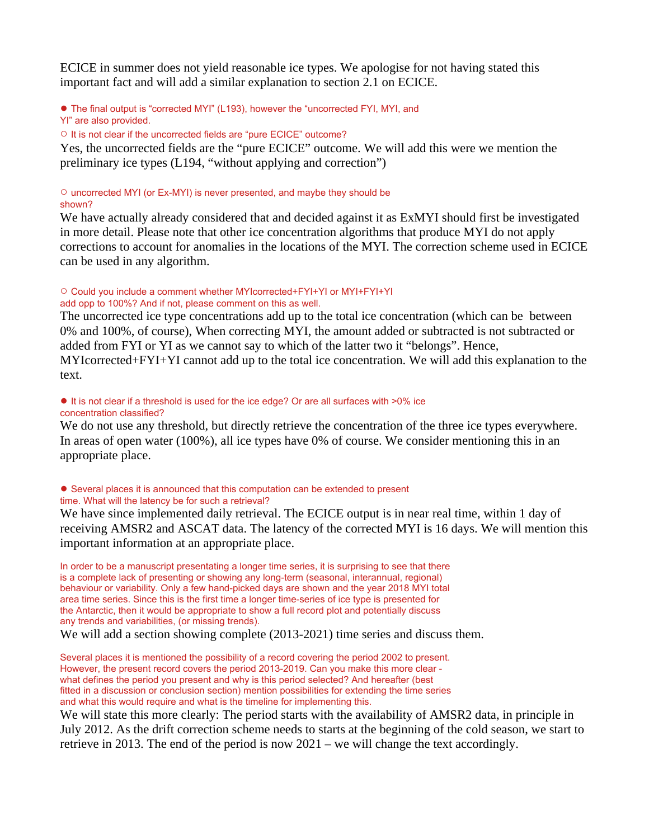ECICE in summer does not yield reasonable ice types. We apologise for not having stated this important fact and will add a similar explanation to section 2.1 on ECICE.

● The final output is "corrected MYI" (L193), however the "uncorrected FYI, MYI, and YI" are also provided.

○ It is not clear if the uncorrected fields are "pure ECICE" outcome?

Yes, the uncorrected fields are the "pure ECICE" outcome. We will add this were we mention the preliminary ice types (L194, "without applying and correction")

#### ○ uncorrected MYI (or Ex-MYI) is never presented, and maybe they should be shown?

We have actually already considered that and decided against it as ExMYI should first be investigated in more detail. Please note that other ice concentration algorithms that produce MYI do not apply corrections to account for anomalies in the locations of the MYI. The correction scheme used in ECICE can be used in any algorithm.

#### ○ Could you include a comment whether MYIcorrected+FYI+YI or MYI+FYI+YI add opp to 100%? And if not, please comment on this as well.

The uncorrected ice type concentrations add up to the total ice concentration (which can be between 0% and 100%, of course), When correcting MYI, the amount added or subtracted is not subtracted or added from FYI or YI as we cannot say to which of the latter two it "belongs". Hence, MYIcorrected+FYI+YI cannot add up to the total ice concentration. We will add this explanation to the text.

#### ● It is not clear if a threshold is used for the ice edge? Or are all surfaces with >0% ice concentration classified?

We do not use any threshold, but directly retrieve the concentration of the three ice types everywhere. In areas of open water (100%), all ice types have 0% of course. We consider mentioning this in an appropriate place.

#### ● Several places it is announced that this computation can be extended to present time. What will the latency be for such a retrieval?

We have since implemented daily retrieval. The ECICE output is in near real time, within 1 day of receiving AMSR2 and ASCAT data. The latency of the corrected MYI is 16 days. We will mention this important information at an appropriate place.

In order to be a manuscript presentating a longer time series, it is surprising to see that there is a complete lack of presenting or showing any long-term (seasonal, interannual, regional) behaviour or variability. Only a few hand-picked days are shown and the year 2018 MYI total area time series. Since this is the first time a longer time-series of ice type is presented for the Antarctic, then it would be appropriate to show a full record plot and potentially discuss any trends and variabilities, (or missing trends).

We will add a section showing complete (2013-2021) time series and discuss them.

Several places it is mentioned the possibility of a record covering the period 2002 to present. However, the present record covers the period 2013-2019. Can you make this more clear what defines the period you present and why is this period selected? And hereafter (best fitted in a discussion or conclusion section) mention possibilities for extending the time series and what this would require and what is the timeline for implementing this.

We will state this more clearly: The period starts with the availability of AMSR2 data, in principle in July 2012. As the drift correction scheme needs to starts at the beginning of the cold season, we start to retrieve in 2013. The end of the period is now 2021 – we will change the text accordingly.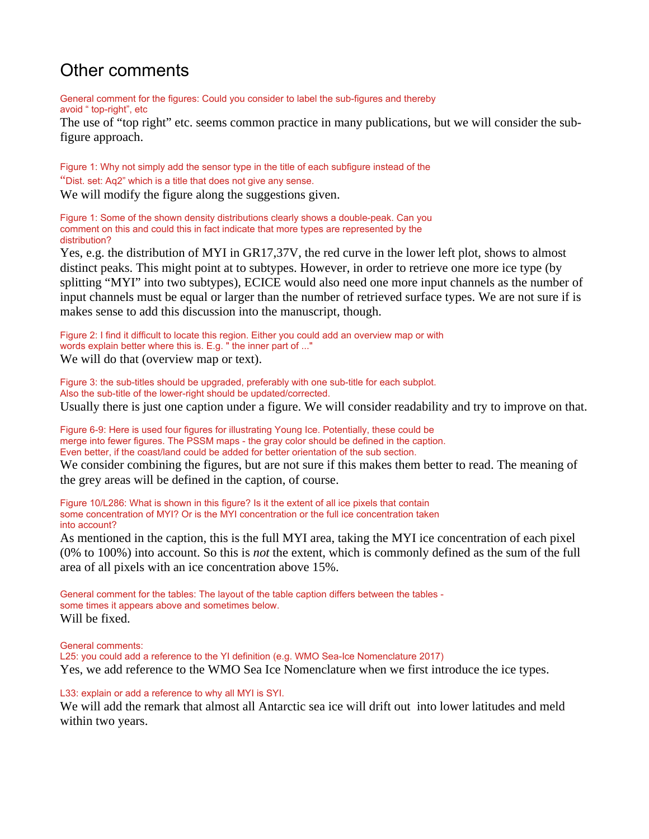## Other comments

General comment for the figures: Could you consider to label the sub-figures and thereby avoid " top-right", etc

The use of "top right" etc. seems common practice in many publications, but we will consider the subfigure approach.

Figure 1: Why not simply add the sensor type in the title of each subfigure instead of the "Dist. set: Aq2" which is a title that does not give any sense. We will modify the figure along the suggestions given.

Figure 1: Some of the shown density distributions clearly shows a double-peak. Can you comment on this and could this in fact indicate that more types are represented by the distribution?

Yes, e.g. the distribution of MYI in GR17,37V, the red curve in the lower left plot, shows to almost distinct peaks. This might point at to subtypes. However, in order to retrieve one more ice type (by splitting "MYI" into two subtypes), ECICE would also need one more input channels as the number of input channels must be equal or larger than the number of retrieved surface types. We are not sure if is makes sense to add this discussion into the manuscript, though.

Figure 2: I find it difficult to locate this region. Either you could add an overview map or with words explain better where this is. E.g. " the inner part of ..." We will do that (overview map or text).

Figure 3: the sub-titles should be upgraded, preferably with one sub-title for each subplot. Also the sub-title of the lower-right should be updated/corrected. Usually there is just one caption under a figure. We will consider readability and try to improve on that.

Figure 6-9: Here is used four figures for illustrating Young Ice. Potentially, these could be merge into fewer figures. The PSSM maps - the gray color should be defined in the caption. Even better, if the coast/land could be added for better orientation of the sub section.

We consider combining the figures, but are not sure if this makes them better to read. The meaning of the grey areas will be defined in the caption, of course.

Figure 10/L286: What is shown in this figure? Is it the extent of all ice pixels that contain some concentration of MYI? Or is the MYI concentration or the full ice concentration taken into account?

As mentioned in the caption, this is the full MYI area, taking the MYI ice concentration of each pixel (0% to 100%) into account. So this is *not* the extent, which is commonly defined as the sum of the full area of all pixels with an ice concentration above 15%.

General comment for the tables: The layout of the table caption differs between the tables some times it appears above and sometimes below. Will be fixed.

General comments:

L25: you could add a reference to the YI definition (e.g. WMO Sea-Ice Nomenclature 2017) Yes, we add reference to the WMO Sea Ice Nomenclature when we first introduce the ice types.

L33: explain or add a reference to why all MYI is SYI.

We will add the remark that almost all Antarctic sea ice will drift out into lower latitudes and meld within two years.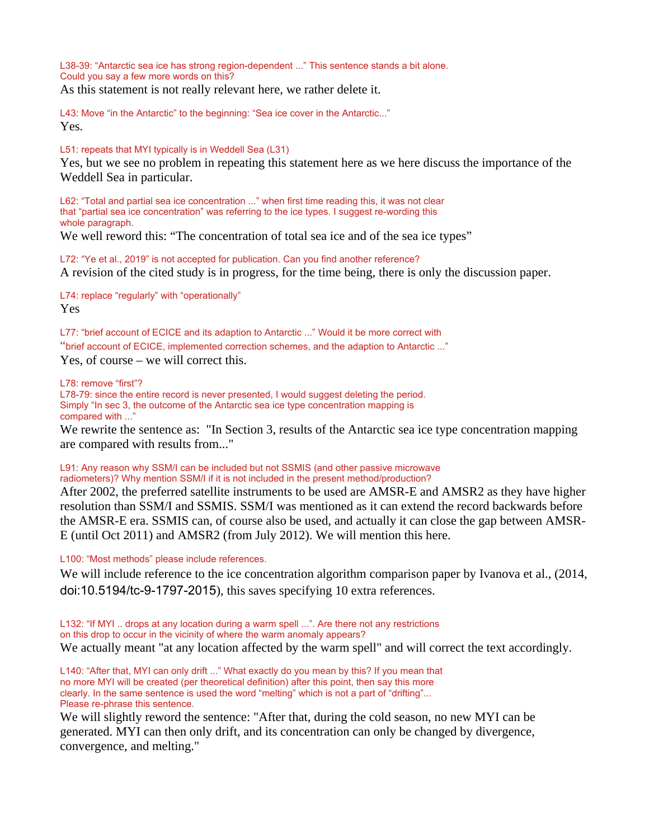L38-39: "Antarctic sea ice has strong region-dependent ..." This sentence stands a bit alone. Could you say a few more words on this?

As this statement is not really relevant here, we rather delete it.

L43: Move "in the Antarctic" to the beginning: "Sea ice cover in the Antarctic..." Yes.

L51: repeats that MYI typically is in Weddell Sea (L31)

Yes, but we see no problem in repeating this statement here as we here discuss the importance of the Weddell Sea in particular.

L62: "Total and partial sea ice concentration ..." when first time reading this, it was not clear that "partial sea ice concentration" was referring to the ice types. I suggest re-wording this whole paragraph.

We well reword this: "The concentration of total sea ice and of the sea ice types"

L72: "Ye et al., 2019" is not accepted for publication. Can you find another reference? A revision of the cited study is in progress, for the time being, there is only the discussion paper.

L74: replace "regularly" with "operationally" Yes

L77: "brief account of ECICE and its adaption to Antarctic ..." Would it be more correct with "brief account of ECICE, implemented correction schemes, and the adaption to Antarctic ..."

Yes, of course – we will correct this.

L78: remove "first"?

L78-79: since the entire record is never presented, I would suggest deleting the period. Simply "In sec 3, the outcome of the Antarctic sea ice type concentration mapping is compared with ..."

We rewrite the sentence as: "In Section 3, results of the Antarctic sea ice type concentration mapping are compared with results from..."

#### L91: Any reason why SSM/I can be included but not SSMIS (and other passive microwave radiometers)? Why mention SSM/I if it is not included in the present method/production?

After 2002, the preferred satellite instruments to be used are AMSR-E and AMSR2 as they have higher resolution than SSM/I and SSMIS. SSM/I was mentioned as it can extend the record backwards before the AMSR-E era. SSMIS can, of course also be used, and actually it can close the gap between AMSR-E (until Oct 2011) and AMSR2 (from July 2012). We will mention this here.

L100: "Most methods" please include references.

We will include reference to the ice concentration algorithm comparison paper by Ivanova et al., (2014, doi:10.5194/tc-9-1797-2015), this saves specifying 10 extra references.

L132: "If MYI .. drops at any location during a warm spell ...". Are there not any restrictions on this drop to occur in the vicinity of where the warm anomaly appears? We actually meant "at any location affected by the warm spell" and will correct the text accordingly.

L140: "After that, MYI can only drift ..." What exactly do you mean by this? If you mean that no more MYI will be created (per theoretical definition) after this point, then say this more clearly. In the same sentence is used the word "melting" which is not a part of "drifting"... Please re-phrase this sentence.

We will slightly reword the sentence: "After that, during the cold season, no new MYI can be generated. MYI can then only drift, and its concentration can only be changed by divergence, convergence, and melting."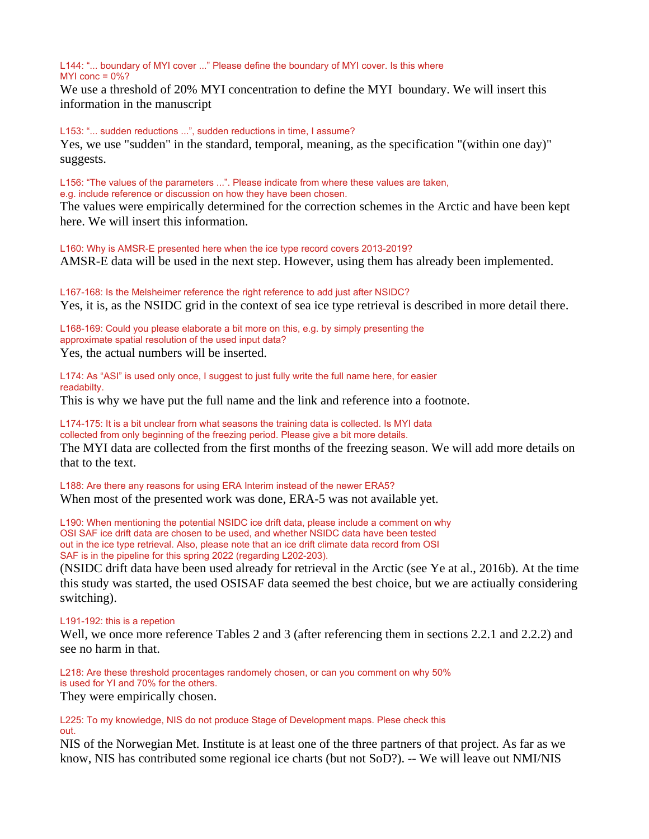L144: "... boundary of MYI cover ..." Please define the boundary of MYI cover. Is this where MYI conc  $= 0\%$ ?

We use a threshold of 20% MYI concentration to define the MYI boundary. We will insert this information in the manuscript

L153: "... sudden reductions ...", sudden reductions in time, I assume? Yes, we use "sudden" in the standard, temporal, meaning, as the specification "(within one day)" suggests.

L156: "The values of the parameters ...". Please indicate from where these values are taken, e.g. include reference or discussion on how they have been chosen.

The values were empirically determined for the correction schemes in the Arctic and have been kept here. We will insert this information.

L160: Why is AMSR-E presented here when the ice type record covers 2013-2019? AMSR-E data will be used in the next step. However, using them has already been implemented.

L167-168: Is the Melsheimer reference the right reference to add just after NSIDC? Yes, it is, as the NSIDC grid in the context of sea ice type retrieval is described in more detail there.

L168-169: Could you please elaborate a bit more on this, e.g. by simply presenting the approximate spatial resolution of the used input data? Yes, the actual numbers will be inserted.

L174: As "ASI" is used only once, I suggest to just fully write the full name here, for easier readabilty.

This is why we have put the full name and the link and reference into a footnote.

L174-175: It is a bit unclear from what seasons the training data is collected. Is MYI data collected from only beginning of the freezing period. Please give a bit more details.

The MYI data are collected from the first months of the freezing season. We will add more details on that to the text.

L188: Are there any reasons for using ERA Interim instead of the newer ERA5? When most of the presented work was done, ERA-5 was not available yet.

L190: When mentioning the potential NSIDC ice drift data, please include a comment on why OSI SAF ice drift data are chosen to be used, and whether NSIDC data have been tested out in the ice type retrieval. Also, please note that an ice drift climate data record from OSI SAF is in the pipeline for this spring 2022 (regarding L202-203).

(NSIDC drift data have been used already for retrieval in the Arctic (see Ye at al., 2016b). At the time this study was started, the used OSISAF data seemed the best choice, but we are actiually considering switching).

#### L191-192: this is a repetion

Well, we once more reference Tables 2 and 3 (after referencing them in sections 2.2.1 and 2.2.2) and see no harm in that.

L218: Are these threshold procentages randomely chosen, or can you comment on why 50% is used for YI and 70% for the others.

They were empirically chosen.

L225: To my knowledge, NIS do not produce Stage of Development maps. Plese check this out.

NIS of the Norwegian Met. Institute is at least one of the three partners of that project. As far as we know, NIS has contributed some regional ice charts (but not SoD?). -- We will leave out NMI/NIS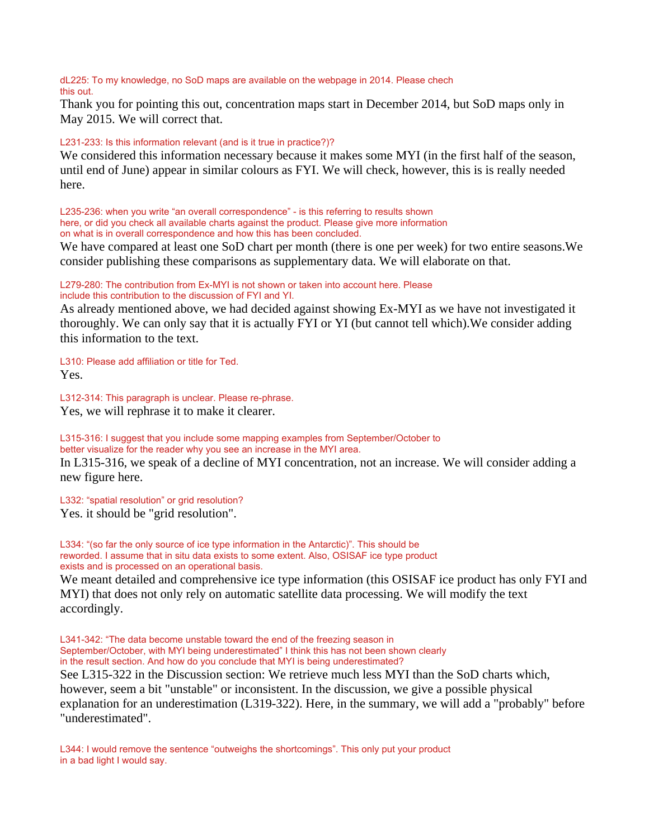dL225: To my knowledge, no SoD maps are available on the webpage in 2014. Please chech this out.

Thank you for pointing this out, concentration maps start in December 2014, but SoD maps only in May 2015. We will correct that.

#### L231-233: Is this information relevant (and is it true in practice?)?

We considered this information necessary because it makes some MYI (in the first half of the season, until end of June) appear in similar colours as FYI. We will check, however, this is is really needed here.

L235-236: when you write "an overall correspondence" - is this referring to results shown here, or did you check all available charts against the product. Please give more information on what is in overall correspondence and how this has been concluded.

We have compared at least one SoD chart per month (there is one per week) for two entire seasons.We consider publishing these comparisons as supplementary data. We will elaborate on that.

L279-280: The contribution from Ex-MYI is not shown or taken into account here. Please include this contribution to the discussion of FYI and YI.

As already mentioned above, we had decided against showing Ex-MYI as we have not investigated it thoroughly. We can only say that it is actually FYI or YI (but cannot tell which).We consider adding this information to the text.

L310: Please add affiliation or title for Ted. Yes.

L312-314: This paragraph is unclear. Please re-phrase. Yes, we will rephrase it to make it clearer.

L315-316: I suggest that you include some mapping examples from September/October to better visualize for the reader why you see an increase in the MYI area.

In L315-316, we speak of a decline of MYI concentration, not an increase. We will consider adding a new figure here.

L332: "spatial resolution" or grid resolution? Yes. it should be "grid resolution".

L334: "(so far the only source of ice type information in the Antarctic)". This should be reworded. I assume that in situ data exists to some extent. Also, OSISAF ice type product exists and is processed on an operational basis.

We meant detailed and comprehensive ice type information (this OSISAF ice product has only FYI and MYI) that does not only rely on automatic satellite data processing. We will modify the text accordingly.

L341-342: "The data become unstable toward the end of the freezing season in September/October, with MYI being underestimated" I think this has not been shown clearly in the result section. And how do you conclude that MYI is being underestimated? See L315-322 in the Discussion section: We retrieve much less MYI than the SoD charts which, however, seem a bit "unstable" or inconsistent. In the discussion, we give a possible physical explanation for an underestimation (L319-322). Here, in the summary, we will add a "probably" before "underestimated".

L344: I would remove the sentence "outweighs the shortcomings". This only put your product in a bad light I would say.